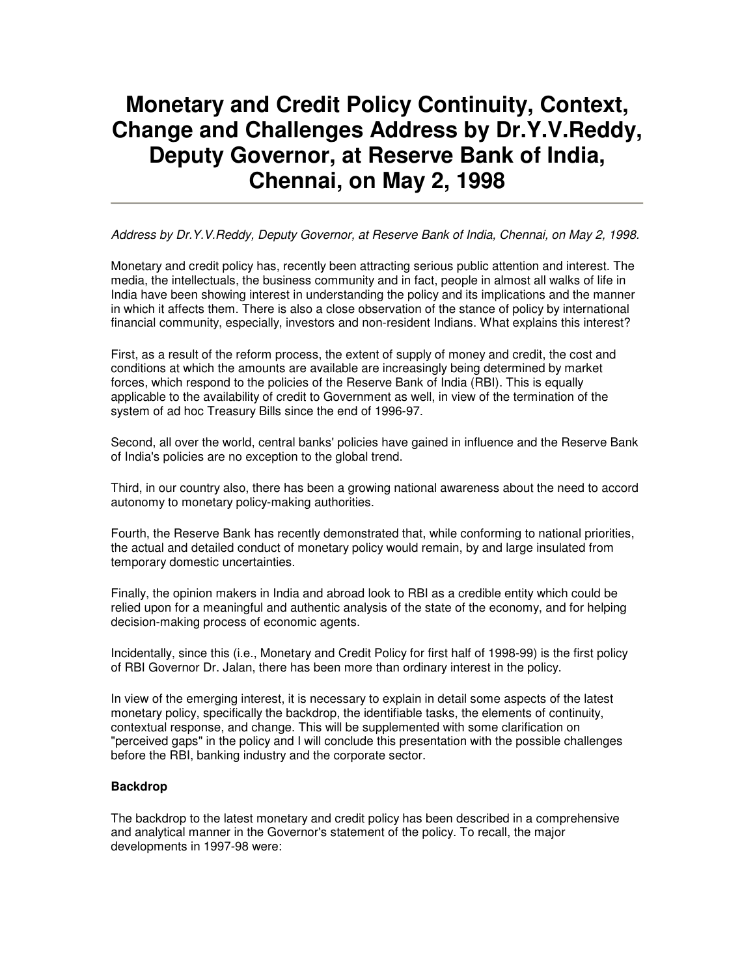# **Monetary and Credit Policy Continuity, Context, Change and Challenges Address by Dr.Y.V.Reddy, Deputy Governor, at Reserve Bank of India, Chennai, on May 2, 1998**

Address by Dr.Y.V.Reddy, Deputy Governor, at Reserve Bank of India, Chennai, on May 2, 1998.

Monetary and credit policy has, recently been attracting serious public attention and interest. The media, the intellectuals, the business community and in fact, people in almost all walks of life in India have been showing interest in understanding the policy and its implications and the manner in which it affects them. There is also a close observation of the stance of policy by international financial community, especially, investors and non-resident Indians. What explains this interest?

First, as a result of the reform process, the extent of supply of money and credit, the cost and conditions at which the amounts are available are increasingly being determined by market forces, which respond to the policies of the Reserve Bank of India (RBI). This is equally applicable to the availability of credit to Government as well, in view of the termination of the system of ad hoc Treasury Bills since the end of 1996-97.

Second, all over the world, central banks' policies have gained in influence and the Reserve Bank of India's policies are no exception to the global trend.

Third, in our country also, there has been a growing national awareness about the need to accord autonomy to monetary policy-making authorities.

Fourth, the Reserve Bank has recently demonstrated that, while conforming to national priorities, the actual and detailed conduct of monetary policy would remain, by and large insulated from temporary domestic uncertainties.

Finally, the opinion makers in India and abroad look to RBI as a credible entity which could be relied upon for a meaningful and authentic analysis of the state of the economy, and for helping decision-making process of economic agents.

Incidentally, since this (i.e., Monetary and Credit Policy for first half of 1998-99) is the first policy of RBI Governor Dr. Jalan, there has been more than ordinary interest in the policy.

In view of the emerging interest, it is necessary to explain in detail some aspects of the latest monetary policy, specifically the backdrop, the identifiable tasks, the elements of continuity, contextual response, and change. This will be supplemented with some clarification on "perceived gaps" in the policy and I will conclude this presentation with the possible challenges before the RBI, banking industry and the corporate sector.

#### **Backdrop**

The backdrop to the latest monetary and credit policy has been described in a comprehensive and analytical manner in the Governor's statement of the policy. To recall, the major developments in 1997-98 were: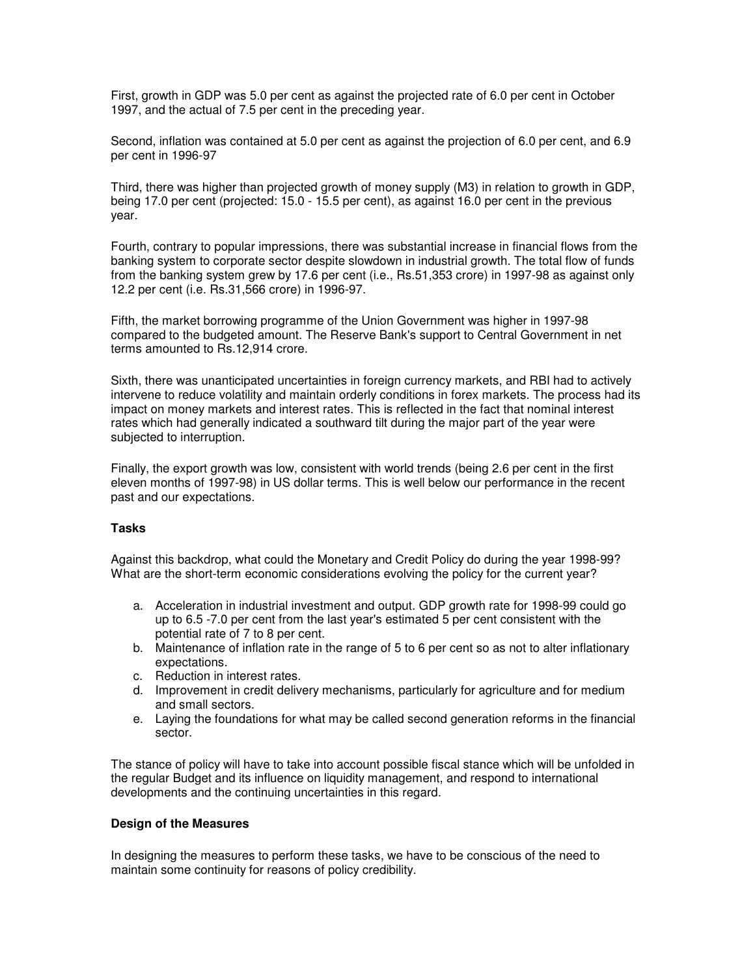First, growth in GDP was 5.0 per cent as against the projected rate of 6.0 per cent in October 1997, and the actual of 7.5 per cent in the preceding year.

Second, inflation was contained at 5.0 per cent as against the projection of 6.0 per cent, and 6.9 per cent in 1996-97

Third, there was higher than projected growth of money supply (M3) in relation to growth in GDP, being 17.0 per cent (projected: 15.0 - 15.5 per cent), as against 16.0 per cent in the previous year.

Fourth, contrary to popular impressions, there was substantial increase in financial flows from the banking system to corporate sector despite slowdown in industrial growth. The total flow of funds from the banking system grew by 17.6 per cent (i.e., Rs.51,353 crore) in 1997-98 as against only 12.2 per cent (i.e. Rs.31,566 crore) in 1996-97.

Fifth, the market borrowing programme of the Union Government was higher in 1997-98 compared to the budgeted amount. The Reserve Bank's support to Central Government in net terms amounted to Rs.12,914 crore.

Sixth, there was unanticipated uncertainties in foreign currency markets, and RBI had to actively intervene to reduce volatility and maintain orderly conditions in forex markets. The process had its impact on money markets and interest rates. This is reflected in the fact that nominal interest rates which had generally indicated a southward tilt during the major part of the year were subjected to interruption.

Finally, the export growth was low, consistent with world trends (being 2.6 per cent in the first eleven months of 1997-98) in US dollar terms. This is well below our performance in the recent past and our expectations.

# **Tasks**

Against this backdrop, what could the Monetary and Credit Policy do during the year 1998-99? What are the short-term economic considerations evolving the policy for the current year?

- a. Acceleration in industrial investment and output. GDP growth rate for 1998-99 could go up to 6.5 -7.0 per cent from the last year's estimated 5 per cent consistent with the potential rate of 7 to 8 per cent.
- b. Maintenance of inflation rate in the range of 5 to 6 per cent so as not to alter inflationary expectations.
- c. Reduction in interest rates.
- d. Improvement in credit delivery mechanisms, particularly for agriculture and for medium and small sectors.
- e. Laying the foundations for what may be called second generation reforms in the financial sector.

The stance of policy will have to take into account possible fiscal stance which will be unfolded in the regular Budget and its influence on liquidity management, and respond to international developments and the continuing uncertainties in this regard.

#### **Design of the Measures**

In designing the measures to perform these tasks, we have to be conscious of the need to maintain some continuity for reasons of policy credibility.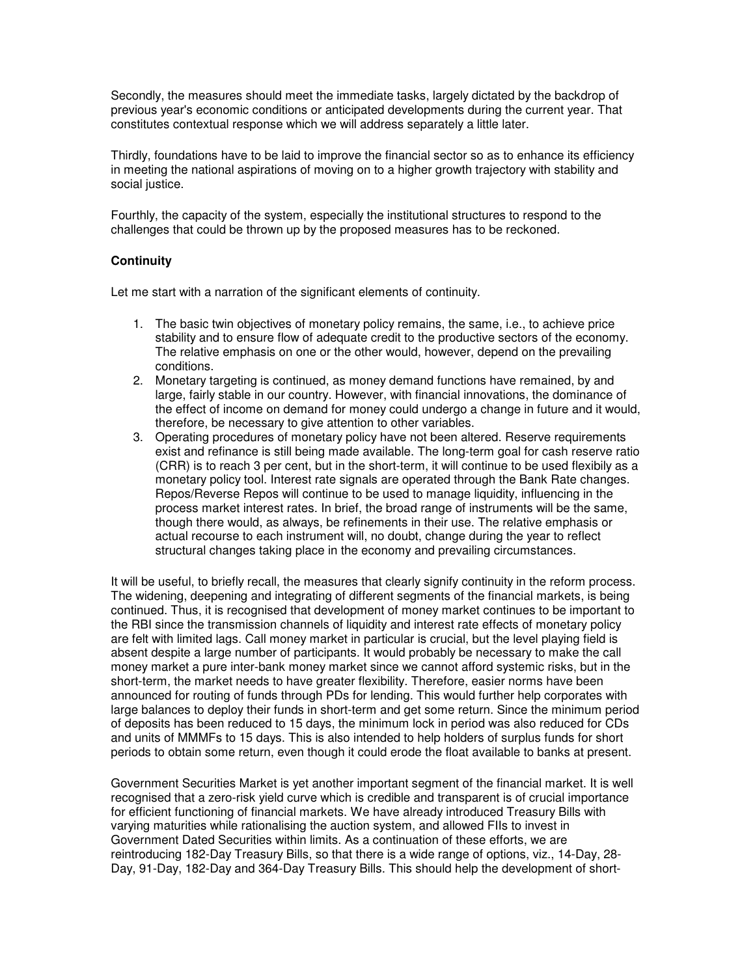Secondly, the measures should meet the immediate tasks, largely dictated by the backdrop of previous year's economic conditions or anticipated developments during the current year. That constitutes contextual response which we will address separately a little later.

Thirdly, foundations have to be laid to improve the financial sector so as to enhance its efficiency in meeting the national aspirations of moving on to a higher growth trajectory with stability and social justice.

Fourthly, the capacity of the system, especially the institutional structures to respond to the challenges that could be thrown up by the proposed measures has to be reckoned.

## **Continuity**

Let me start with a narration of the significant elements of continuity.

- 1. The basic twin objectives of monetary policy remains, the same, i.e., to achieve price stability and to ensure flow of adequate credit to the productive sectors of the economy. The relative emphasis on one or the other would, however, depend on the prevailing conditions.
- 2. Monetary targeting is continued, as money demand functions have remained, by and large, fairly stable in our country. However, with financial innovations, the dominance of the effect of income on demand for money could undergo a change in future and it would, therefore, be necessary to give attention to other variables.
- 3. Operating procedures of monetary policy have not been altered. Reserve requirements exist and refinance is still being made available. The long-term goal for cash reserve ratio (CRR) is to reach 3 per cent, but in the short-term, it will continue to be used flexibily as a monetary policy tool. Interest rate signals are operated through the Bank Rate changes. Repos/Reverse Repos will continue to be used to manage liquidity, influencing in the process market interest rates. In brief, the broad range of instruments will be the same, though there would, as always, be refinements in their use. The relative emphasis or actual recourse to each instrument will, no doubt, change during the year to reflect structural changes taking place in the economy and prevailing circumstances.

It will be useful, to briefly recall, the measures that clearly signify continuity in the reform process. The widening, deepening and integrating of different segments of the financial markets, is being continued. Thus, it is recognised that development of money market continues to be important to the RBI since the transmission channels of liquidity and interest rate effects of monetary policy are felt with limited lags. Call money market in particular is crucial, but the level playing field is absent despite a large number of participants. It would probably be necessary to make the call money market a pure inter-bank money market since we cannot afford systemic risks, but in the short-term, the market needs to have greater flexibility. Therefore, easier norms have been announced for routing of funds through PDs for lending. This would further help corporates with large balances to deploy their funds in short-term and get some return. Since the minimum period of deposits has been reduced to 15 days, the minimum lock in period was also reduced for CDs and units of MMMFs to 15 days. This is also intended to help holders of surplus funds for short periods to obtain some return, even though it could erode the float available to banks at present.

Government Securities Market is yet another important segment of the financial market. It is well recognised that a zero-risk yield curve which is credible and transparent is of crucial importance for efficient functioning of financial markets. We have already introduced Treasury Bills with varying maturities while rationalising the auction system, and allowed FIIs to invest in Government Dated Securities within limits. As a continuation of these efforts, we are reintroducing 182-Day Treasury Bills, so that there is a wide range of options, viz., 14-Day, 28- Day, 91-Day, 182-Day and 364-Day Treasury Bills. This should help the development of short-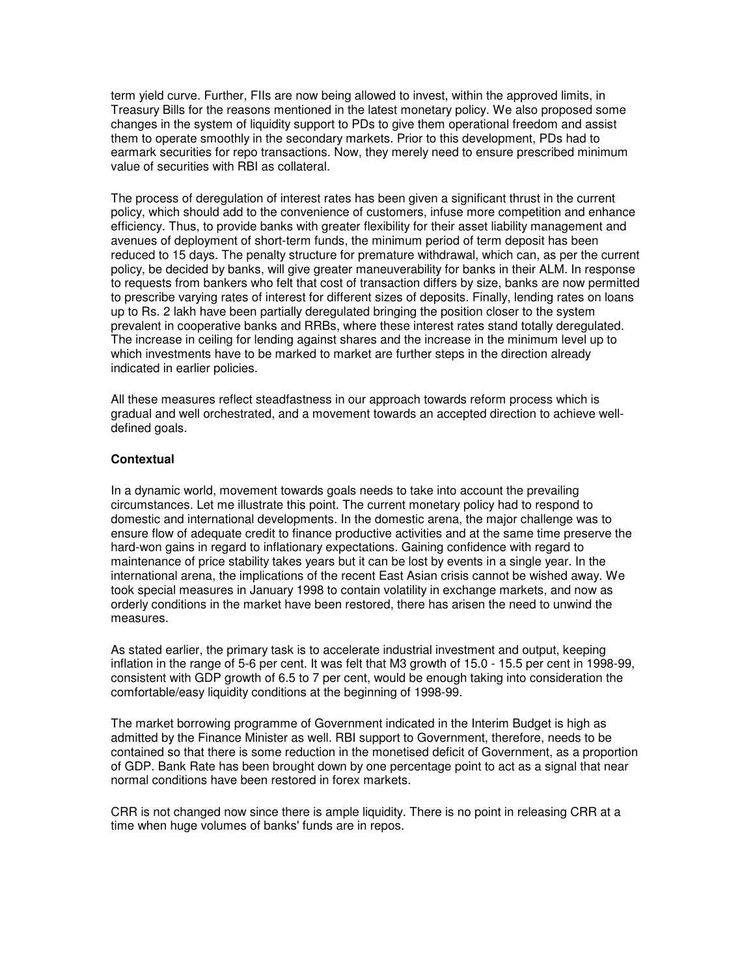term yield curve. Further, FIIs are now being allowed to invest, within the approved limits, in Treasury Bills for the reasons mentioned in the latest monetary policy. We also proposed some changes in the system of liquidity support to PDs to give them operational freedom and assist them to operate smoothly in the secondary markets. Prior to this development, PDs had to earmark securities for repo transactions. Now, they merely need to ensure prescribed minimum value of securities with RBI as collateral.

The process of deregulation of interest rates has been given a significant thrust in the current policy, which should add to the convenience of customers, infuse more competition and enhance efficiency. Thus, to provide banks with greater flexibility for their asset liability management and avenues of deployment of short-term funds, the minimum period of term deposit has been reduced to 15 days. The penalty structure for premature withdrawal, which can, as per the current policy, be decided by banks, will give greater maneuverability for banks in their ALM. In response to requests from bankers who felt that cost of transaction differs by size, banks are now permitted to prescribe varying rates of interest for different sizes of deposits. Finally, lending rates on loans up to Rs. 2 lakh have been partially deregulated bringing the position closer to the system prevalent in cooperative banks and RRBs, where these interest rates stand totally deregulated. The increase in ceiling for lending against shares and the increase in the minimum level up to which investments have to be marked to market are further steps in the direction already indicated in earlier policies.

All these measures reflect steadfastness in our approach towards reform process which is gradual and well orchestrated, and a movement towards an accepted direction to achieve welldefined goals.

## **Contextual**

In a dynamic world, movement towards goals needs to take into account the prevailing circumstances. Let me illustrate this point. The current monetary policy had to respond to domestic and international developments. In the domestic arena, the major challenge was to ensure flow of adequate credit to finance productive activities and at the same time preserve the hard-won gains in regard to inflationary expectations. Gaining confidence with regard to maintenance of price stability takes years but it can be lost by events in a single year. In the international arena, the implications of the recent East Asian crisis cannot be wished away. We took special measures in January 1998 to contain volatility in exchange markets, and now as orderly conditions in the market have been restored, there has arisen the need to unwind the measures.

As stated earlier, the primary task is to accelerate industrial investment and output, keeping inflation in the range of 5-6 per cent. It was felt that M3 growth of 15.0 - 15.5 per cent in 1998-99, consistent with GDP growth of 6.5 to 7 per cent, would be enough taking into consideration the comfortable/easy liquidity conditions at the beginning of 1998-99.

The market borrowing programme of Government indicated in the Interim Budget is high as admitted by the Finance Minister as well. RBI support to Government, therefore, needs to be contained so that there is some reduction in the monetised deficit of Government, as a proportion of GDP. Bank Rate has been brought down by one percentage point to act as a signal that near normal conditions have been restored in forex markets.

CRR is not changed now since there is ample liquidity. There is no point in releasing CRR at a time when huge volumes of banks' funds are in repos.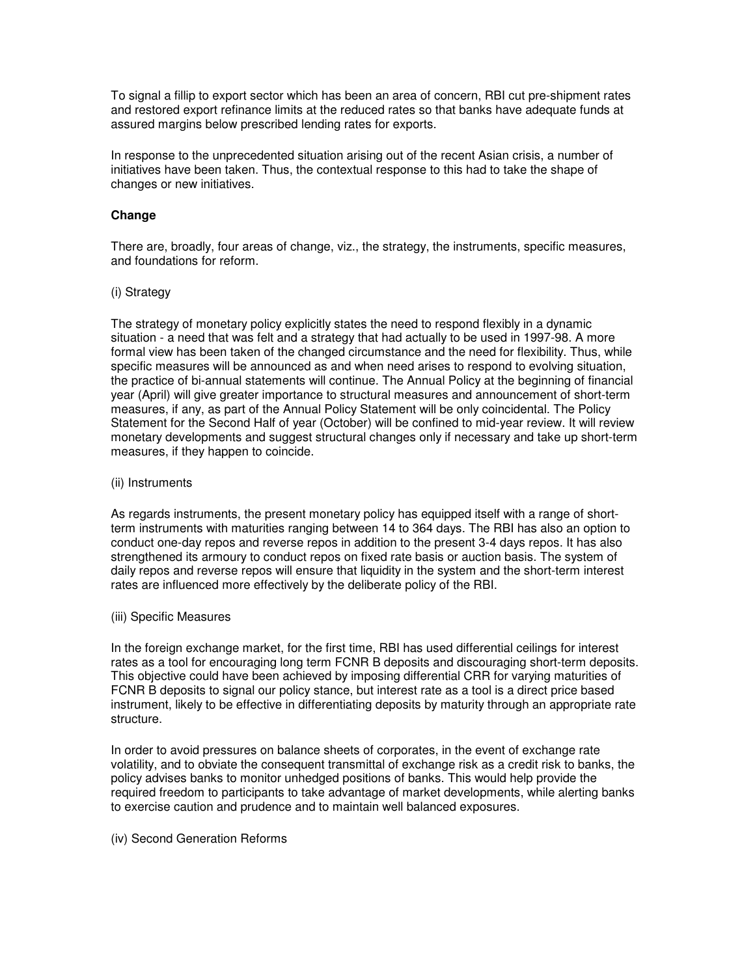To signal a fillip to export sector which has been an area of concern, RBI cut pre-shipment rates and restored export refinance limits at the reduced rates so that banks have adequate funds at assured margins below prescribed lending rates for exports.

In response to the unprecedented situation arising out of the recent Asian crisis, a number of initiatives have been taken. Thus, the contextual response to this had to take the shape of changes or new initiatives.

## **Change**

There are, broadly, four areas of change, viz., the strategy, the instruments, specific measures, and foundations for reform.

#### (i) Strategy

The strategy of monetary policy explicitly states the need to respond flexibly in a dynamic situation - a need that was felt and a strategy that had actually to be used in 1997-98. A more formal view has been taken of the changed circumstance and the need for flexibility. Thus, while specific measures will be announced as and when need arises to respond to evolving situation, the practice of bi-annual statements will continue. The Annual Policy at the beginning of financial year (April) will give greater importance to structural measures and announcement of short-term measures, if any, as part of the Annual Policy Statement will be only coincidental. The Policy Statement for the Second Half of year (October) will be confined to mid-year review. It will review monetary developments and suggest structural changes only if necessary and take up short-term measures, if they happen to coincide.

#### (ii) Instruments

As regards instruments, the present monetary policy has equipped itself with a range of shortterm instruments with maturities ranging between 14 to 364 days. The RBI has also an option to conduct one-day repos and reverse repos in addition to the present 3-4 days repos. It has also strengthened its armoury to conduct repos on fixed rate basis or auction basis. The system of daily repos and reverse repos will ensure that liquidity in the system and the short-term interest rates are influenced more effectively by the deliberate policy of the RBI.

#### (iii) Specific Measures

In the foreign exchange market, for the first time, RBI has used differential ceilings for interest rates as a tool for encouraging long term FCNR B deposits and discouraging short-term deposits. This objective could have been achieved by imposing differential CRR for varying maturities of FCNR B deposits to signal our policy stance, but interest rate as a tool is a direct price based instrument, likely to be effective in differentiating deposits by maturity through an appropriate rate structure.

In order to avoid pressures on balance sheets of corporates, in the event of exchange rate volatility, and to obviate the consequent transmittal of exchange risk as a credit risk to banks, the policy advises banks to monitor unhedged positions of banks. This would help provide the required freedom to participants to take advantage of market developments, while alerting banks to exercise caution and prudence and to maintain well balanced exposures.

#### (iv) Second Generation Reforms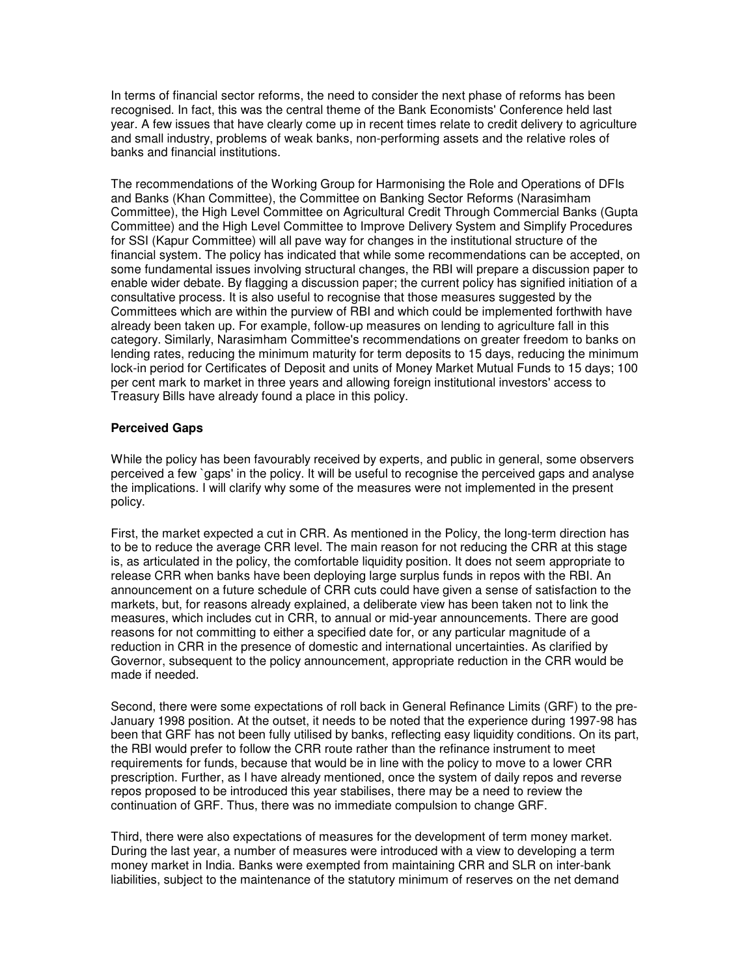In terms of financial sector reforms, the need to consider the next phase of reforms has been recognised. In fact, this was the central theme of the Bank Economists' Conference held last year. A few issues that have clearly come up in recent times relate to credit delivery to agriculture and small industry, problems of weak banks, non-performing assets and the relative roles of banks and financial institutions.

The recommendations of the Working Group for Harmonising the Role and Operations of DFIs and Banks (Khan Committee), the Committee on Banking Sector Reforms (Narasimham Committee), the High Level Committee on Agricultural Credit Through Commercial Banks (Gupta Committee) and the High Level Committee to Improve Delivery System and Simplify Procedures for SSI (Kapur Committee) will all pave way for changes in the institutional structure of the financial system. The policy has indicated that while some recommendations can be accepted, on some fundamental issues involving structural changes, the RBI will prepare a discussion paper to enable wider debate. By flagging a discussion paper; the current policy has signified initiation of a consultative process. It is also useful to recognise that those measures suggested by the Committees which are within the purview of RBI and which could be implemented forthwith have already been taken up. For example, follow-up measures on lending to agriculture fall in this category. Similarly, Narasimham Committee's recommendations on greater freedom to banks on lending rates, reducing the minimum maturity for term deposits to 15 days, reducing the minimum lock-in period for Certificates of Deposit and units of Money Market Mutual Funds to 15 days; 100 per cent mark to market in three years and allowing foreign institutional investors' access to Treasury Bills have already found a place in this policy.

## **Perceived Gaps**

While the policy has been favourably received by experts, and public in general, some observers perceived a few `gaps' in the policy. It will be useful to recognise the perceived gaps and analyse the implications. I will clarify why some of the measures were not implemented in the present policy.

First, the market expected a cut in CRR. As mentioned in the Policy, the long-term direction has to be to reduce the average CRR level. The main reason for not reducing the CRR at this stage is, as articulated in the policy, the comfortable liquidity position. It does not seem appropriate to release CRR when banks have been deploying large surplus funds in repos with the RBI. An announcement on a future schedule of CRR cuts could have given a sense of satisfaction to the markets, but, for reasons already explained, a deliberate view has been taken not to link the measures, which includes cut in CRR, to annual or mid-year announcements. There are good reasons for not committing to either a specified date for, or any particular magnitude of a reduction in CRR in the presence of domestic and international uncertainties. As clarified by Governor, subsequent to the policy announcement, appropriate reduction in the CRR would be made if needed.

Second, there were some expectations of roll back in General Refinance Limits (GRF) to the pre-January 1998 position. At the outset, it needs to be noted that the experience during 1997-98 has been that GRF has not been fully utilised by banks, reflecting easy liquidity conditions. On its part, the RBI would prefer to follow the CRR route rather than the refinance instrument to meet requirements for funds, because that would be in line with the policy to move to a lower CRR prescription. Further, as I have already mentioned, once the system of daily repos and reverse repos proposed to be introduced this year stabilises, there may be a need to review the continuation of GRF. Thus, there was no immediate compulsion to change GRF.

Third, there were also expectations of measures for the development of term money market. During the last year, a number of measures were introduced with a view to developing a term money market in India. Banks were exempted from maintaining CRR and SLR on inter-bank liabilities, subject to the maintenance of the statutory minimum of reserves on the net demand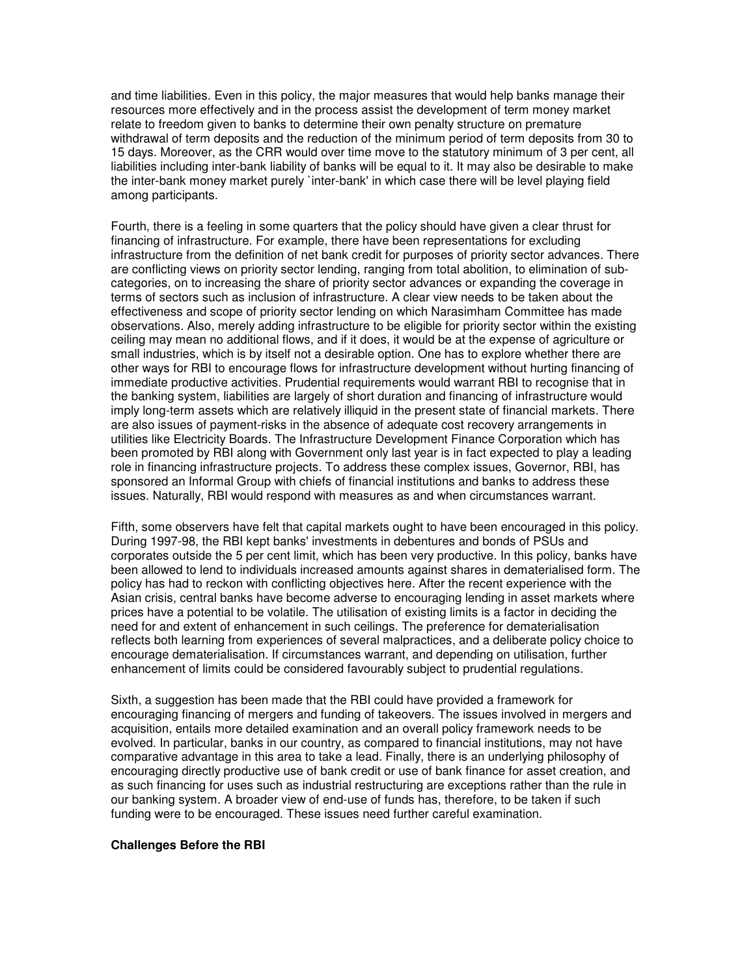and time liabilities. Even in this policy, the major measures that would help banks manage their resources more effectively and in the process assist the development of term money market relate to freedom given to banks to determine their own penalty structure on premature withdrawal of term deposits and the reduction of the minimum period of term deposits from 30 to 15 days. Moreover, as the CRR would over time move to the statutory minimum of 3 per cent, all liabilities including inter-bank liability of banks will be equal to it. It may also be desirable to make the inter-bank money market purely `inter-bank' in which case there will be level playing field among participants.

Fourth, there is a feeling in some quarters that the policy should have given a clear thrust for financing of infrastructure. For example, there have been representations for excluding infrastructure from the definition of net bank credit for purposes of priority sector advances. There are conflicting views on priority sector lending, ranging from total abolition, to elimination of subcategories, on to increasing the share of priority sector advances or expanding the coverage in terms of sectors such as inclusion of infrastructure. A clear view needs to be taken about the effectiveness and scope of priority sector lending on which Narasimham Committee has made observations. Also, merely adding infrastructure to be eligible for priority sector within the existing ceiling may mean no additional flows, and if it does, it would be at the expense of agriculture or small industries, which is by itself not a desirable option. One has to explore whether there are other ways for RBI to encourage flows for infrastructure development without hurting financing of immediate productive activities. Prudential requirements would warrant RBI to recognise that in the banking system, liabilities are largely of short duration and financing of infrastructure would imply long-term assets which are relatively illiquid in the present state of financial markets. There are also issues of payment-risks in the absence of adequate cost recovery arrangements in utilities like Electricity Boards. The Infrastructure Development Finance Corporation which has been promoted by RBI along with Government only last year is in fact expected to play a leading role in financing infrastructure projects. To address these complex issues, Governor, RBI, has sponsored an Informal Group with chiefs of financial institutions and banks to address these issues. Naturally, RBI would respond with measures as and when circumstances warrant.

Fifth, some observers have felt that capital markets ought to have been encouraged in this policy. During 1997-98, the RBI kept banks' investments in debentures and bonds of PSUs and corporates outside the 5 per cent limit, which has been very productive. In this policy, banks have been allowed to lend to individuals increased amounts against shares in dematerialised form. The policy has had to reckon with conflicting objectives here. After the recent experience with the Asian crisis, central banks have become adverse to encouraging lending in asset markets where prices have a potential to be volatile. The utilisation of existing limits is a factor in deciding the need for and extent of enhancement in such ceilings. The preference for dematerialisation reflects both learning from experiences of several malpractices, and a deliberate policy choice to encourage dematerialisation. If circumstances warrant, and depending on utilisation, further enhancement of limits could be considered favourably subject to prudential regulations.

Sixth, a suggestion has been made that the RBI could have provided a framework for encouraging financing of mergers and funding of takeovers. The issues involved in mergers and acquisition, entails more detailed examination and an overall policy framework needs to be evolved. In particular, banks in our country, as compared to financial institutions, may not have comparative advantage in this area to take a lead. Finally, there is an underlying philosophy of encouraging directly productive use of bank credit or use of bank finance for asset creation, and as such financing for uses such as industrial restructuring are exceptions rather than the rule in our banking system. A broader view of end-use of funds has, therefore, to be taken if such funding were to be encouraged. These issues need further careful examination.

#### **Challenges Before the RBI**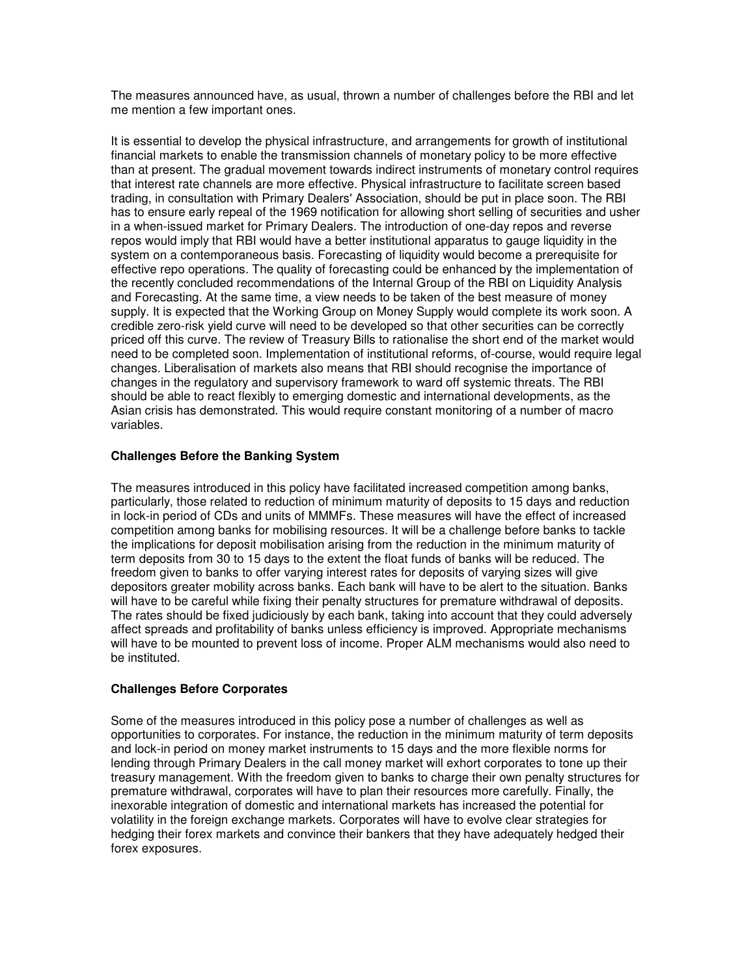The measures announced have, as usual, thrown a number of challenges before the RBI and let me mention a few important ones.

It is essential to develop the physical infrastructure, and arrangements for growth of institutional financial markets to enable the transmission channels of monetary policy to be more effective than at present. The gradual movement towards indirect instruments of monetary control requires that interest rate channels are more effective. Physical infrastructure to facilitate screen based trading, in consultation with Primary Dealers' Association, should be put in place soon. The RBI has to ensure early repeal of the 1969 notification for allowing short selling of securities and usher in a when-issued market for Primary Dealers. The introduction of one-day repos and reverse repos would imply that RBI would have a better institutional apparatus to gauge liquidity in the system on a contemporaneous basis. Forecasting of liquidity would become a prerequisite for effective repo operations. The quality of forecasting could be enhanced by the implementation of the recently concluded recommendations of the Internal Group of the RBI on Liquidity Analysis and Forecasting. At the same time, a view needs to be taken of the best measure of money supply. It is expected that the Working Group on Money Supply would complete its work soon. A credible zero-risk yield curve will need to be developed so that other securities can be correctly priced off this curve. The review of Treasury Bills to rationalise the short end of the market would need to be completed soon. Implementation of institutional reforms, of-course, would require legal changes. Liberalisation of markets also means that RBI should recognise the importance of changes in the regulatory and supervisory framework to ward off systemic threats. The RBI should be able to react flexibly to emerging domestic and international developments, as the Asian crisis has demonstrated. This would require constant monitoring of a number of macro variables.

## **Challenges Before the Banking System**

The measures introduced in this policy have facilitated increased competition among banks, particularly, those related to reduction of minimum maturity of deposits to 15 days and reduction in lock-in period of CDs and units of MMMFs. These measures will have the effect of increased competition among banks for mobilising resources. It will be a challenge before banks to tackle the implications for deposit mobilisation arising from the reduction in the minimum maturity of term deposits from 30 to 15 days to the extent the float funds of banks will be reduced. The freedom given to banks to offer varying interest rates for deposits of varying sizes will give depositors greater mobility across banks. Each bank will have to be alert to the situation. Banks will have to be careful while fixing their penalty structures for premature withdrawal of deposits. The rates should be fixed judiciously by each bank, taking into account that they could adversely affect spreads and profitability of banks unless efficiency is improved. Appropriate mechanisms will have to be mounted to prevent loss of income. Proper ALM mechanisms would also need to be instituted.

# **Challenges Before Corporates**

Some of the measures introduced in this policy pose a number of challenges as well as opportunities to corporates. For instance, the reduction in the minimum maturity of term deposits and lock-in period on money market instruments to 15 days and the more flexible norms for lending through Primary Dealers in the call money market will exhort corporates to tone up their treasury management. With the freedom given to banks to charge their own penalty structures for premature withdrawal, corporates will have to plan their resources more carefully. Finally, the inexorable integration of domestic and international markets has increased the potential for volatility in the foreign exchange markets. Corporates will have to evolve clear strategies for hedging their forex markets and convince their bankers that they have adequately hedged their forex exposures.